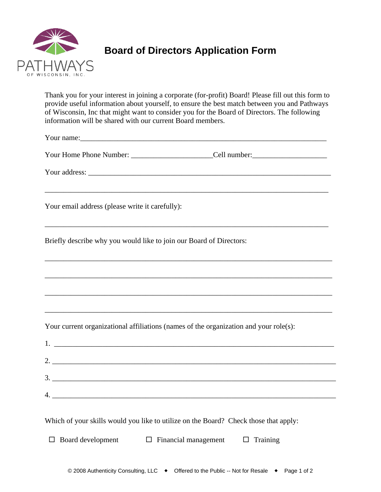

## **Board of Directors Application Form**

Thank you for your interest in joining a corporate (for-profit) Board! Please fill out this form to provide useful information about yourself, to ensure the best match between you and Pathways of Wisconsin, Inc that might want to consider you for the Board of Directors. The following information will be shared with our current Board members.

Your name:\_\_\_\_\_\_\_\_\_\_\_\_\_\_\_\_\_\_\_\_\_\_\_\_\_\_\_\_\_\_\_\_\_\_\_\_\_\_\_\_\_\_\_\_\_\_\_\_\_\_\_\_\_\_\_\_\_\_\_\_\_\_\_\_\_\_

Your Home Phone Number: <br>
Cell number:

\_\_\_\_\_\_\_\_\_\_\_\_\_\_\_\_\_\_\_\_\_\_\_\_\_\_\_\_\_\_\_\_\_\_\_\_\_\_\_\_\_\_\_\_\_\_\_\_\_\_\_\_\_\_\_\_\_\_\_\_\_\_\_\_\_\_\_\_\_\_\_\_\_\_\_\_

\_\_\_\_\_\_\_\_\_\_\_\_\_\_\_\_\_\_\_\_\_\_\_\_\_\_\_\_\_\_\_\_\_\_\_\_\_\_\_\_\_\_\_\_\_\_\_\_\_\_\_\_\_\_\_\_\_\_\_\_\_\_\_\_\_\_\_\_\_\_\_\_\_\_\_\_

\_\_\_\_\_\_\_\_\_\_\_\_\_\_\_\_\_\_\_\_\_\_\_\_\_\_\_\_\_\_\_\_\_\_\_\_\_\_\_\_\_\_\_\_\_\_\_\_\_\_\_\_\_\_\_\_\_\_\_\_\_\_\_\_\_\_\_\_\_\_\_\_\_\_\_\_\_

\_\_\_\_\_\_\_\_\_\_\_\_\_\_\_\_\_\_\_\_\_\_\_\_\_\_\_\_\_\_\_\_\_\_\_\_\_\_\_\_\_\_\_\_\_\_\_\_\_\_\_\_\_\_\_\_\_\_\_\_\_\_\_\_\_\_\_\_\_\_\_\_\_\_\_\_\_

\_\_\_\_\_\_\_\_\_\_\_\_\_\_\_\_\_\_\_\_\_\_\_\_\_\_\_\_\_\_\_\_\_\_\_\_\_\_\_\_\_\_\_\_\_\_\_\_\_\_\_\_\_\_\_\_\_\_\_\_\_\_\_\_\_\_\_\_\_\_\_\_\_\_\_\_\_

\_\_\_\_\_\_\_\_\_\_\_\_\_\_\_\_\_\_\_\_\_\_\_\_\_\_\_\_\_\_\_\_\_\_\_\_\_\_\_\_\_\_\_\_\_\_\_\_\_\_\_\_\_\_\_\_\_\_\_\_\_\_\_\_\_\_\_\_\_\_\_\_\_\_\_\_\_

Your address: \_\_\_\_\_\_\_\_\_\_\_\_\_\_\_\_\_\_\_\_\_\_\_\_\_\_\_\_\_\_\_\_\_\_\_\_\_\_\_\_\_\_\_\_\_\_\_\_\_\_\_\_\_\_\_\_\_\_\_\_\_\_\_\_\_

Your email address (please write it carefully):

Briefly describe why you would like to join our Board of Directors:

Your current organizational affiliations (names of the organization and your role(s):

|    | $\begin{array}{c}\n3. \quad \textcolor{blue}{\overline{\qquad \qquad }}\n\end{array}$ |
|----|---------------------------------------------------------------------------------------|
| 4. |                                                                                       |
|    | <u> 1980 - Andrea Andrew Maria (h. 1980).</u>                                         |

Which of your skills would you like to utilize on the Board? Check those that apply:

 $\Box$  Board development  $\Box$  Financial management  $\Box$  Training